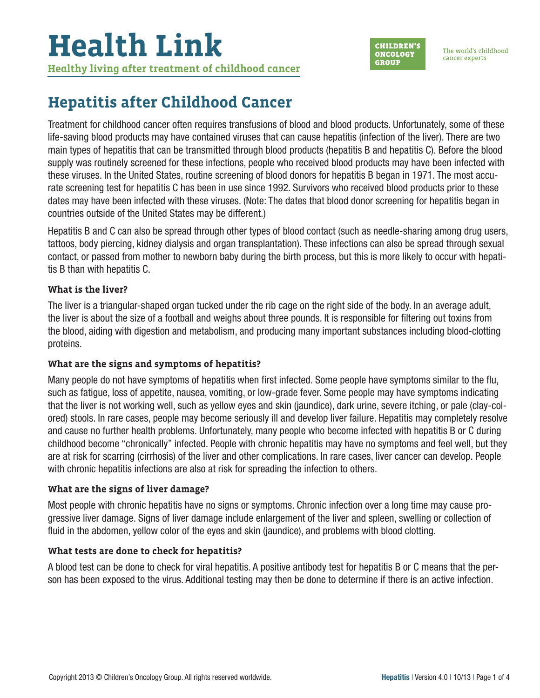# **Health Link**

**Healthy living after treatment of childhood cancer**



The world's childhood cancer experts

## **Hepatitis after Childhood Cancer**

Treatment for childhood cancer often requires transfusions of blood and blood products. Unfortunately, some of these life-saving blood products may have contained viruses that can cause hepatitis (infection of the liver). There are two main types of hepatitis that can be transmitted through blood products (hepatitis B and hepatitis C). Before the blood supply was routinely screened for these infections, people who received blood products may have been infected with these viruses. In the United States, routine screening of blood donors for hepatitis B began in 1971. The most accurate screening test for hepatitis C has been in use since 1992. Survivors who received blood products prior to these dates may have been infected with these viruses. (Note: The dates that blood donor screening for hepatitis began in countries outside of the United States may be different.)

Hepatitis B and C can also be spread through other types of blood contact (such as needle-sharing among drug users, tattoos, body piercing, kidney dialysis and organ transplantation). These infections can also be spread through sexual contact, or passed from mother to newborn baby during the birth process, but this is more likely to occur with hepatitis B than with hepatitis C.

#### **What is the liver?**

The liver is a triangular-shaped organ tucked under the rib cage on the right side of the body. In an average adult, the liver is about the size of a football and weighs about three pounds. It is responsible for filtering out toxins from the blood, aiding with digestion and metabolism, and producing many important substances including blood-clotting proteins.

#### **What are the signs and symptoms of hepatitis?**

Many people do not have symptoms of hepatitis when first infected. Some people have symptoms similar to the flu, such as fatigue, loss of appetite, nausea, vomiting, or low-grade fever. Some people may have symptoms indicating that the liver is not working well, such as yellow eyes and skin (jaundice), dark urine, severe itching, or pale (clay-colored) stools. In rare cases, people may become seriously ill and develop liver failure. Hepatitis may completely resolve and cause no further health problems. Unfortunately, many people who become infected with hepatitis B or C during childhood become "chronically" infected. People with chronic hepatitis may have no symptoms and feel well, but they are at risk for scarring (cirrhosis) of the liver and other complications. In rare cases, liver cancer can develop. People with chronic hepatitis infections are also at risk for spreading the infection to others.

#### **What are the signs of liver damage?**

Most people with chronic hepatitis have no signs or symptoms. Chronic infection over a long time may cause progressive liver damage. Signs of liver damage include enlargement of the liver and spleen, swelling or collection of fluid in the abdomen, yellow color of the eyes and skin (jaundice), and problems with blood clotting.

#### **What tests are done to check for hepatitis?**

A blood test can be done to check for viral hepatitis. A positive antibody test for hepatitis B or C means that the person has been exposed to the virus. Additional testing may then be done to determine if there is an active infection.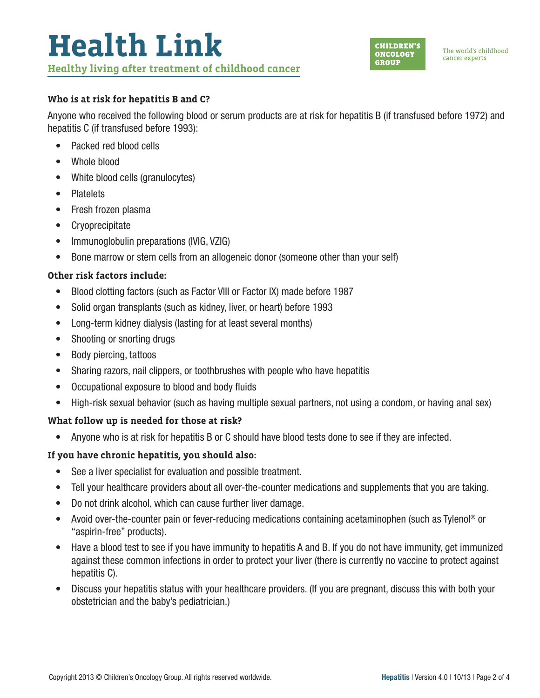

#### **Who is at risk for hepatitis B and C?**

Anyone who received the following blood or serum products are at risk for hepatitis B (if transfused before 1972) and hepatitis C (if transfused before 1993):

- Packed red blood cells
- Whole blood
- White blood cells (granulocytes)
- Platelets
- Fresh frozen plasma
- Cryoprecipitate
- Immunoglobulin preparations (IVIG, VZIG)
- Bone marrow or stem cells from an allogeneic donor (someone other than your self)

#### **Other risk factors include:**

- Blood clotting factors (such as Factor VIII or Factor IX) made before 1987
- Solid organ transplants (such as kidney, liver, or heart) before 1993
- Long-term kidney dialysis (lasting for at least several months)
- Shooting or snorting drugs
- Body piercing, tattoos
- Sharing razors, nail clippers, or toothbrushes with people who have hepatitis
- Occupational exposure to blood and body fluids
- High-risk sexual behavior (such as having multiple sexual partners, not using a condom, or having anal sex)

#### **What follow up is needed for those at risk?**

• Anyone who is at risk for hepatitis B or C should have blood tests done to see if they are infected.

#### **If you have chronic hepatitis, you should also:**

- See a liver specialist for evaluation and possible treatment.
- Tell your healthcare providers about all over-the-counter medications and supplements that you are taking.
- Do not drink alcohol, which can cause further liver damage.
- Avoid over-the-counter pain or fever-reducing medications containing acetaminophen (such as Tylenol® or "aspirin-free" products).
- Have a blood test to see if you have immunity to hepatitis A and B. If you do not have immunity, get immunized against these common infections in order to protect your liver (there is currently no vaccine to protect against hepatitis C).
- Discuss your hepatitis status with your healthcare providers. (If you are pregnant, discuss this with both your obstetrician and the baby's pediatrician.)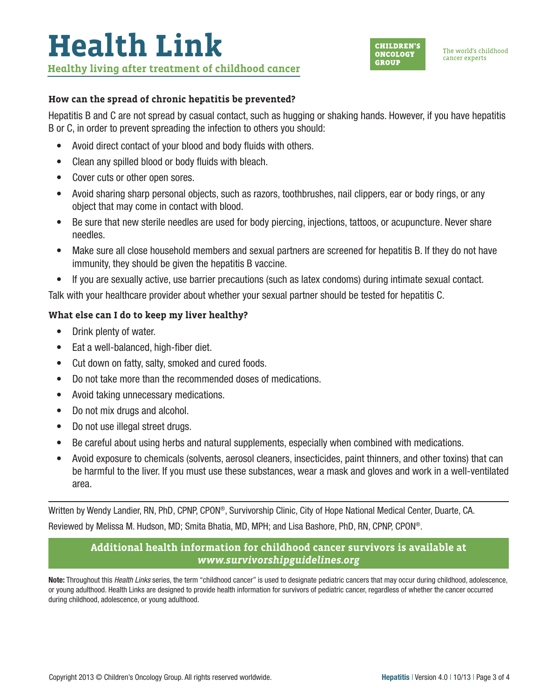#### **How can the spread of chronic hepatitis be prevented?**

Hepatitis B and C are not spread by casual contact, such as hugging or shaking hands. However, if you have hepatitis B or C, in order to prevent spreading the infection to others you should:

- Avoid direct contact of your blood and body fluids with others.
- Clean any spilled blood or body fluids with bleach.
- Cover cuts or other open sores.
- Avoid sharing sharp personal objects, such as razors, toothbrushes, nail clippers, ear or body rings, or any object that may come in contact with blood.
- Be sure that new sterile needles are used for body piercing, injections, tattoos, or acupuncture. Never share needles.
- Make sure all close household members and sexual partners are screened for hepatitis B. If they do not have immunity, they should be given the hepatitis B vaccine.
- If you are sexually active, use barrier precautions (such as latex condoms) during intimate sexual contact.

Talk with your healthcare provider about whether your sexual partner should be tested for hepatitis C.

#### **What else can I do to keep my liver healthy?**

- Drink plenty of water.
- Eat a well-balanced, high-fiber diet.
- Cut down on fatty, salty, smoked and cured foods.
- Do not take more than the recommended doses of medications.
- Avoid taking unnecessary medications.
- Do not mix drugs and alcohol.
- Do not use illegal street drugs.
- Be careful about using herbs and natural supplements, especially when combined with medications.
- Avoid exposure to chemicals (solvents, aerosol cleaners, insecticides, paint thinners, and other toxins) that can be harmful to the liver. If you must use these substances, wear a mask and gloves and work in a well-ventilated area.

Written by Wendy Landier, RN, PhD, CPNP, CPON®, Survivorship Clinic, City of Hope National Medical Center, Duarte, CA. Reviewed by Melissa M. Hudson, MD; Smita Bhatia, MD, MPH; and Lisa Bashore, PhD, RN, CPNP, CPON®.

### **Additional health information for childhood cancer survivors is available at**  *[www.survivorshipguidelines.org](http://www.survivorshipguidelines.org)*

Note: Throughout this *Health Links* series, the term "childhood cancer" is used to designate pediatric cancers that may occur during childhood, adolescence, or young adulthood. Health Links are designed to provide health information for survivors of pediatric cancer, regardless of whether the cancer occurred during childhood, adolescence, or young adulthood.